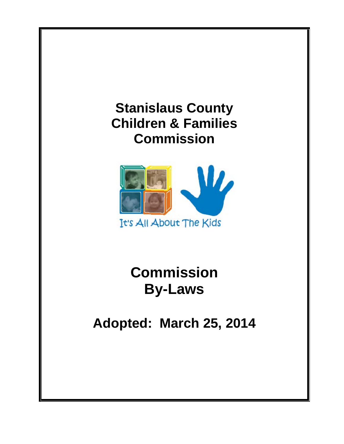



**Commission By-Laws** 

**Adopted: March 25, 2014**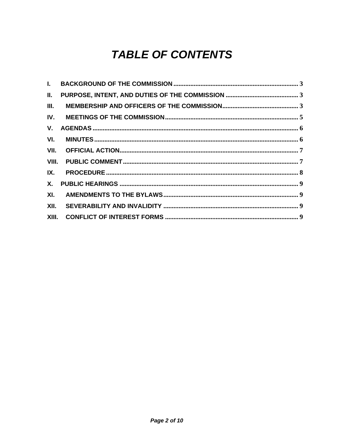# **TABLE OF CONTENTS**

| $\mathbf{L}$ |  |
|--------------|--|
| II.          |  |
| III.         |  |
|              |  |
| V.           |  |
| VI.          |  |
|              |  |
|              |  |
| IX.          |  |
| X.           |  |
| XI.          |  |
| XII.         |  |
|              |  |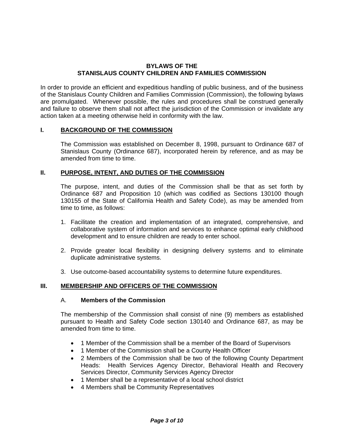#### **BYLAWS OF THE STANISLAUS COUNTY CHILDREN AND FAMILIES COMMISSION**

In order to provide an efficient and expeditious handling of public business, and of the business of the Stanislaus County Children and Families Commission (Commission), the following bylaws are promulgated. Whenever possible, the rules and procedures shall be construed generally and failure to observe them shall not affect the jurisdiction of the Commission or invalidate any action taken at a meeting otherwise held in conformity with the law.

#### **I. BACKGROUND OF THE COMMISSION**

The Commission was established on December 8, 1998, pursuant to Ordinance 687 of Stanislaus County (Ordinance 687), incorporated herein by reference, and as may be amended from time to time.

## **II. PURPOSE, INTENT, AND DUTIES OF THE COMMISSION**

The purpose, intent, and duties of the Commission shall be that as set forth by Ordinance 687 and Proposition 10 (which was codified as Sections 130100 though 130155 of the State of California Health and Safety Code), as may be amended from time to time, as follows:

- 1. Facilitate the creation and implementation of an integrated, comprehensive, and collaborative system of information and services to enhance optimal early childhood development and to ensure children are ready to enter school.
- 2. Provide greater local flexibility in designing delivery systems and to eliminate duplicate administrative systems.
- 3. Use outcome-based accountability systems to determine future expenditures.

#### **III. MEMBERSHIP AND OFFICERS OF THE COMMISSION**

#### A. **Members of the Commission**

The membership of the Commission shall consist of nine (9) members as established pursuant to Health and Safety Code section 130140 and Ordinance 687, as may be amended from time to time.

- 1 Member of the Commission shall be a member of the Board of Supervisors
- 1 Member of the Commission shall be a County Health Officer
- 2 Members of the Commission shall be two of the following County Department Heads: Health Services Agency Director, Behavioral Health and Recovery Services Director, Community Services Agency Director
- 1 Member shall be a representative of a local school district
- 4 Members shall be Community Representatives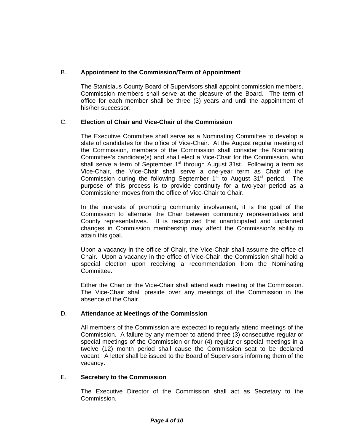# B. **Appointment to the Commission/Term of Appointment**

The Stanislaus County Board of Supervisors shall appoint commission members. Commission members shall serve at the pleasure of the Board. The term of office for each member shall be three (3) years and until the appointment of his/her successor.

# C. **Election of Chair and Vice-Chair of the Commission**

The Executive Committee shall serve as a Nominating Committee to develop a slate of candidates for the office of Vice-Chair. At the August regular meeting of the Commission, members of the Commission shall consider the Nominating Committee's candidate(s) and shall elect a Vice-Chair for the Commission, who shall serve a term of September  $1<sup>st</sup>$  through August 31st. Following a term as Vice-Chair, the Vice-Chair shall serve a one-year term as Chair of the Commission during the following September  $1<sup>st</sup>$  to August  $31<sup>st</sup>$  period. The purpose of this process is to provide continuity for a two-year period as a Commissioner moves from the office of Vice-Chair to Chair.

In the interests of promoting community involvement, it is the goal of the Commission to alternate the Chair between community representatives and County representatives. It is recognized that unanticipated and unplanned changes in Commission membership may affect the Commission's ability to attain this goal.

Upon a vacancy in the office of Chair, the Vice-Chair shall assume the office of Chair. Upon a vacancy in the office of Vice-Chair, the Commission shall hold a special election upon receiving a recommendation from the Nominating Committee.

Either the Chair or the Vice-Chair shall attend each meeting of the Commission. The Vice-Chair shall preside over any meetings of the Commission in the absence of the Chair.

# D. **Attendance at Meetings of the Commission**

All members of the Commission are expected to regularly attend meetings of the Commission. A failure by any member to attend three (3) consecutive regular or special meetings of the Commission or four (4) regular or special meetings in a twelve (12) month period shall cause the Commission seat to be declared vacant. A letter shall be issued to the Board of Supervisors informing them of the vacancy.

# E. **Secretary to the Commission**

The Executive Director of the Commission shall act as Secretary to the Commission.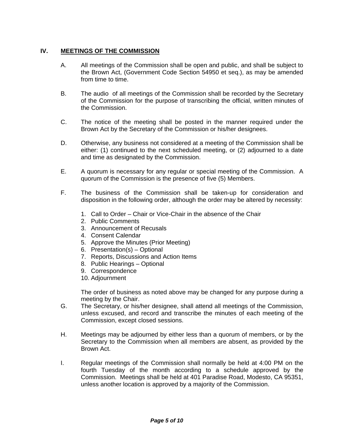## **IV. MEETINGS OF THE COMMISSION**

- A. All meetings of the Commission shall be open and public, and shall be subject to the Brown Act, (Government Code Section 54950 et seq.), as may be amended from time to time.
- B. The audio of all meetings of the Commission shall be recorded by the Secretary of the Commission for the purpose of transcribing the official, written minutes of the Commission.
- C. The notice of the meeting shall be posted in the manner required under the Brown Act by the Secretary of the Commission or his/her designees.
- D. Otherwise, any business not considered at a meeting of the Commission shall be either: (1) continued to the next scheduled meeting, or (2) adjourned to a date and time as designated by the Commission.
- E. A quorum is necessary for any regular or special meeting of the Commission. A quorum of the Commission is the presence of five (5) Members.
- F. The business of the Commission shall be taken-up for consideration and disposition in the following order, although the order may be altered by necessity:
	- 1. Call to Order Chair or Vice-Chair in the absence of the Chair
	- 2. Public Comments
	- 3. Announcement of Recusals
	- 4. Consent Calendar
	- 5. Approve the Minutes (Prior Meeting)
	- 6. Presentation(s) Optional
	- 7. Reports, Discussions and Action Items
	- 8. Public Hearings Optional
	- 9. Correspondence
	- 10. Adjournment

The order of business as noted above may be changed for any purpose during a meeting by the Chair.

- G. The Secretary, or his/her designee, shall attend all meetings of the Commission, unless excused, and record and transcribe the minutes of each meeting of the Commission, except closed sessions.
- H. Meetings may be adjourned by either less than a quorum of members, or by the Secretary to the Commission when all members are absent, as provided by the Brown Act.
- I. Regular meetings of the Commission shall normally be held at 4:00 PM on the fourth Tuesday of the month according to a schedule approved by the Commission. Meetings shall be held at 401 Paradise Road, Modesto, CA 95351, unless another location is approved by a majority of the Commission.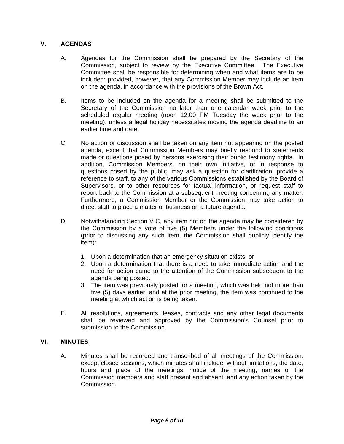# **V. AGENDAS**

- A. Agendas for the Commission shall be prepared by the Secretary of the Commission, subject to review by the Executive Committee. The Executive Committee shall be responsible for determining when and what items are to be included; provided, however, that any Commission Member may include an item on the agenda, in accordance with the provisions of the Brown Act.
- B. Items to be included on the agenda for a meeting shall be submitted to the Secretary of the Commission no later than one calendar week prior to the scheduled regular meeting (noon 12:00 PM Tuesday the week prior to the meeting), unless a legal holiday necessitates moving the agenda deadline to an earlier time and date.
- C. No action or discussion shall be taken on any item not appearing on the posted agenda, except that Commission Members may briefly respond to statements made or questions posed by persons exercising their public testimony rights. In addition, Commission Members, on their own initiative, or in response to questions posed by the public, may ask a question for clarification, provide a reference to staff, to any of the various Commissions established by the Board of Supervisors, or to other resources for factual information, or request staff to report back to the Commission at a subsequent meeting concerning any matter. Furthermore, a Commission Member or the Commission may take action to direct staff to place a matter of business on a future agenda.
- D. Notwithstanding Section V C, any item not on the agenda may be considered by the Commission by a vote of five (5) Members under the following conditions (prior to discussing any such item, the Commission shall publicly identify the item):
	- 1. Upon a determination that an emergency situation exists; or
	- 2. Upon a determination that there is a need to take immediate action and the need for action came to the attention of the Commission subsequent to the agenda being posted.
	- 3. The item was previously posted for a meeting, which was held not more than five (5) days earlier, and at the prior meeting, the item was continued to the meeting at which action is being taken.
- E. All resolutions, agreements, leases, contracts and any other legal documents shall be reviewed and approved by the Commission's Counsel prior to submission to the Commission.

## **VI. MINUTES**

A. Minutes shall be recorded and transcribed of all meetings of the Commission, except closed sessions, which minutes shall include, without limitations, the date, hours and place of the meetings, notice of the meeting, names of the Commission members and staff present and absent, and any action taken by the Commission.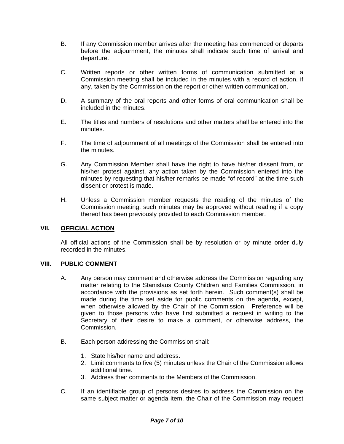- B. If any Commission member arrives after the meeting has commenced or departs before the adjournment, the minutes shall indicate such time of arrival and departure.
- C. Written reports or other written forms of communication submitted at a Commission meeting shall be included in the minutes with a record of action, if any, taken by the Commission on the report or other written communication.
- D. A summary of the oral reports and other forms of oral communication shall be included in the minutes.
- E. The titles and numbers of resolutions and other matters shall be entered into the minutes.
- F. The time of adjournment of all meetings of the Commission shall be entered into the minutes.
- G. Any Commission Member shall have the right to have his/her dissent from, or his/her protest against, any action taken by the Commission entered into the minutes by requesting that his/her remarks be made "of record" at the time such dissent or protest is made.
- H. Unless a Commission member requests the reading of the minutes of the Commission meeting, such minutes may be approved without reading if a copy thereof has been previously provided to each Commission member.

## **VII. OFFICIAL ACTION**

All official actions of the Commission shall be by resolution or by minute order duly recorded in the minutes.

## **VIII. PUBLIC COMMENT**

- A. Any person may comment and otherwise address the Commission regarding any matter relating to the Stanislaus County Children and Families Commission, in accordance with the provisions as set forth herein. Such comment(s) shall be made during the time set aside for public comments on the agenda, except, when otherwise allowed by the Chair of the Commission. Preference will be given to those persons who have first submitted a request in writing to the Secretary of their desire to make a comment, or otherwise address, the Commission.
- B. Each person addressing the Commission shall:
	- 1. State his/her name and address.
	- 2. Limit comments to five (5) minutes unless the Chair of the Commission allows additional time.
	- 3. Address their comments to the Members of the Commission.
- C. If an identifiable group of persons desires to address the Commission on the same subject matter or agenda item, the Chair of the Commission may request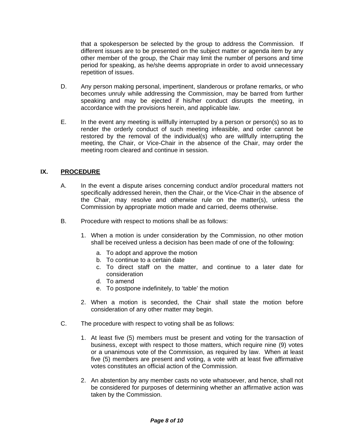that a spokesperson be selected by the group to address the Commission. If different issues are to be presented on the subject matter or agenda item by any other member of the group, the Chair may limit the number of persons and time period for speaking, as he/she deems appropriate in order to avoid unnecessary repetition of issues.

- D. Any person making personal, impertinent, slanderous or profane remarks, or who becomes unruly while addressing the Commission, may be barred from further speaking and may be ejected if his/her conduct disrupts the meeting, in accordance with the provisions herein, and applicable law.
- E. In the event any meeting is willfully interrupted by a person or person(s) so as to render the orderly conduct of such meeting infeasible, and order cannot be restored by the removal of the individual(s) who are willfully interrupting the meeting, the Chair, or Vice-Chair in the absence of the Chair, may order the meeting room cleared and continue in session.

## **IX. PROCEDURE**

- A. In the event a dispute arises concerning conduct and/or procedural matters not specifically addressed herein, then the Chair, or the Vice-Chair in the absence of the Chair, may resolve and otherwise rule on the matter(s), unless the Commission by appropriate motion made and carried, deems otherwise.
- B. Procedure with respect to motions shall be as follows:
	- 1. When a motion is under consideration by the Commission, no other motion shall be received unless a decision has been made of one of the following:
		- a. To adopt and approve the motion
		- b. To continue to a certain date
		- c. To direct staff on the matter, and continue to a later date for consideration
		- d. To amend
		- e. To postpone indefinitely, to 'table' the motion
	- 2. When a motion is seconded, the Chair shall state the motion before consideration of any other matter may begin.
- C. The procedure with respect to voting shall be as follows:
	- 1. At least five (5) members must be present and voting for the transaction of business, except with respect to those matters, which require nine (9) votes or a unanimous vote of the Commission, as required by law. When at least five (5) members are present and voting, a vote with at least five affirmative votes constitutes an official action of the Commission.
	- 2. An abstention by any member casts no vote whatsoever, and hence, shall not be considered for purposes of determining whether an affirmative action was taken by the Commission.